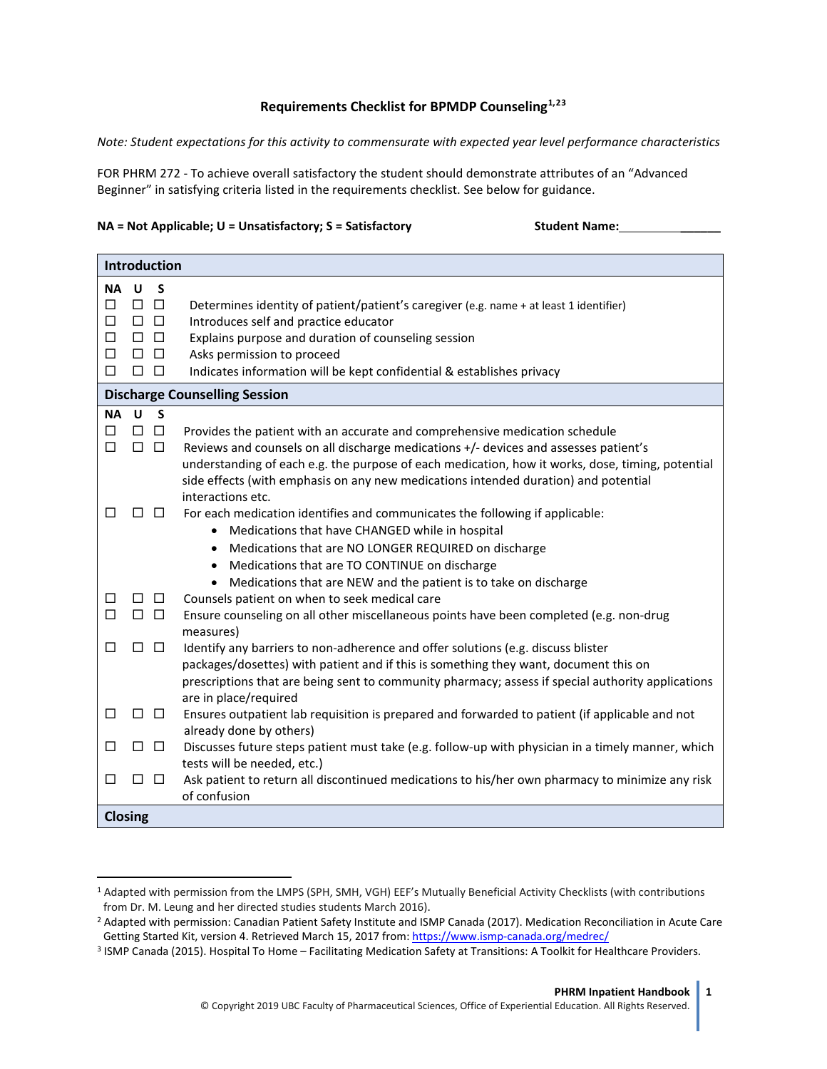## **Requirements Checklist for BPMDP Counseling[1](#page-0-0),[2](#page-0-1)[3](#page-0-2)**

*Note: Student expectations for this activity to commensurate with expected year level performance characteristics*

FOR PHRM 272 - To achieve overall satisfactory the student should demonstrate attributes of an "Advanced Beginner" in satisfying criteria listed in the requirements checklist. See below for guidance.

## **NA = Not Applicable; U = Unsatisfactory; S = Satisfactory Student Name: \_\_\_\_\_\_**

| <b>Introduction</b>                                                                                                          |                                                                                                                                                                                                                                                                                                                                                                                                                                                                                                         |  |
|------------------------------------------------------------------------------------------------------------------------------|---------------------------------------------------------------------------------------------------------------------------------------------------------------------------------------------------------------------------------------------------------------------------------------------------------------------------------------------------------------------------------------------------------------------------------------------------------------------------------------------------------|--|
| <b>NA</b><br>U<br>$\Box$ $\Box$<br>п<br>$\Box$ $\Box$<br>П<br>$\Box$ $\Box$<br>□<br>$\Box$ $\Box$<br>□<br>$\Box$ $\Box$<br>п | S<br>Determines identity of patient/patient's caregiver (e.g. name + at least 1 identifier)<br>Introduces self and practice educator<br>Explains purpose and duration of counseling session<br>Asks permission to proceed<br>Indicates information will be kept confidential & establishes privacy                                                                                                                                                                                                      |  |
| <b>Discharge Counselling Session</b>                                                                                         |                                                                                                                                                                                                                                                                                                                                                                                                                                                                                                         |  |
| <b>NA</b><br>$\mathbf{U}$<br>$\Box$<br>п<br>п<br>$\Box$ $\Box$<br>□<br>П                                                     | $\mathsf{s}$<br>$\Box$<br>Provides the patient with an accurate and comprehensive medication schedule<br>Reviews and counsels on all discharge medications +/- devices and assesses patient's<br>understanding of each e.g. the purpose of each medication, how it works, dose, timing, potential<br>side effects (with emphasis on any new medications intended duration) and potential<br>interactions etc.<br>$\Box$<br>For each medication identifies and communicates the following if applicable: |  |
|                                                                                                                              | • Medications that have CHANGED while in hospital<br>Medications that are NO LONGER REQUIRED on discharge<br>$\bullet$<br>Medications that are TO CONTINUE on discharge<br>$\bullet$<br>Medications that are NEW and the patient is to take on discharge                                                                                                                                                                                                                                                |  |
| $\Box$ $\Box$<br>ப<br>$\Box$<br>$\Box$ $\Box$                                                                                | Counsels patient on when to seek medical care<br>Ensure counseling on all other miscellaneous points have been completed (e.g. non-drug<br>measures)                                                                                                                                                                                                                                                                                                                                                    |  |
| $\Box$ $\Box$<br>П                                                                                                           | Identify any barriers to non-adherence and offer solutions (e.g. discuss blister<br>packages/dosettes) with patient and if this is something they want, document this on<br>prescriptions that are being sent to community pharmacy; assess if special authority applications<br>are in place/required                                                                                                                                                                                                  |  |
| ப<br>Ħ                                                                                                                       | Ensures outpatient lab requisition is prepared and forwarded to patient (if applicable and not<br>$\Box$<br>already done by others)                                                                                                                                                                                                                                                                                                                                                                     |  |
| $\Box$ $\Box$<br>П                                                                                                           | Discusses future steps patient must take (e.g. follow-up with physician in a timely manner, which<br>tests will be needed, etc.)                                                                                                                                                                                                                                                                                                                                                                        |  |
| □<br>П                                                                                                                       | Ask patient to return all discontinued medications to his/her own pharmacy to minimize any risk<br>$\Box$<br>of confusion                                                                                                                                                                                                                                                                                                                                                                               |  |
| <b>Closing</b>                                                                                                               |                                                                                                                                                                                                                                                                                                                                                                                                                                                                                                         |  |

<span id="page-0-0"></span> <sup>1</sup> Adapted with permission from the LMPS (SPH, SMH, VGH) EEF's Mutually Beneficial Activity Checklists (with contributions from Dr. M. Leung and her directed studies students March 2016).

<span id="page-0-1"></span><sup>2</sup> Adapted with permission: Canadian Patient Safety Institute and ISMP Canada (2017). Medication Reconciliation in Acute Care Getting Started Kit, version 4. Retrieved March 15, 2017 from[: https://www.ismp-canada.org/medrec/](https://www.ismp-canada.org/medrec/)

<span id="page-0-2"></span><sup>3</sup> ISMP Canada (2015). Hospital To Home – Facilitating Medication Safety at Transitions: A Toolkit for Healthcare Providers.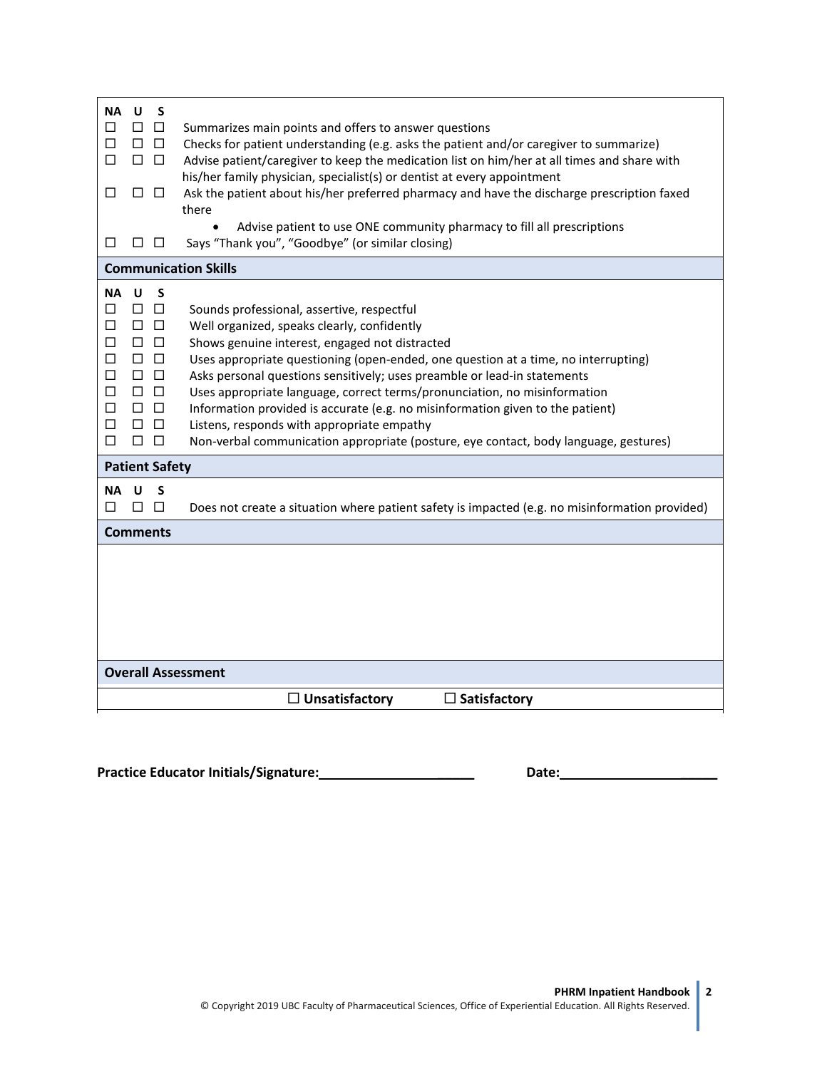| U<br><b>NA</b><br>S<br>$\Box$<br>П<br>□<br>П<br>$\Box$<br>$\Box$<br>П<br>$\Box$<br>$\Box$<br>□<br>$\Box$<br>$\Box$<br>n n<br>Ш                                                                                                     | Summarizes main points and offers to answer questions<br>Checks for patient understanding (e.g. asks the patient and/or caregiver to summarize)<br>Advise patient/caregiver to keep the medication list on him/her at all times and share with<br>his/her family physician, specialist(s) or dentist at every appointment<br>Ask the patient about his/her preferred pharmacy and have the discharge prescription faxed<br>there<br>Advise patient to use ONE community pharmacy to fill all prescriptions<br>Says "Thank you", "Goodbye" (or similar closing)                                                     |  |  |
|------------------------------------------------------------------------------------------------------------------------------------------------------------------------------------------------------------------------------------|--------------------------------------------------------------------------------------------------------------------------------------------------------------------------------------------------------------------------------------------------------------------------------------------------------------------------------------------------------------------------------------------------------------------------------------------------------------------------------------------------------------------------------------------------------------------------------------------------------------------|--|--|
| <b>Communication Skills</b>                                                                                                                                                                                                        |                                                                                                                                                                                                                                                                                                                                                                                                                                                                                                                                                                                                                    |  |  |
| <b>NA</b><br><b>U</b><br>S<br>$\Box$<br>□<br>□<br>$\Box$ $\Box$<br>П<br>$\Box$ $\Box$<br>□<br>$\Box$ $\Box$<br>$\Box$<br>$\Box$ $\Box$<br>□<br>$\Box$ $\Box$<br>□<br>$\Box$<br>□<br>$\Box$<br>$\Box$<br>□<br>П<br>$\Box$<br>П<br>□ | Sounds professional, assertive, respectful<br>Well organized, speaks clearly, confidently<br>Shows genuine interest, engaged not distracted<br>Uses appropriate questioning (open-ended, one question at a time, no interrupting)<br>Asks personal questions sensitively; uses preamble or lead-in statements<br>Uses appropriate language, correct terms/pronunciation, no misinformation<br>Information provided is accurate (e.g. no misinformation given to the patient)<br>Listens, responds with appropriate empathy<br>Non-verbal communication appropriate (posture, eye contact, body language, gestures) |  |  |
| <b>Patient Safety</b>                                                                                                                                                                                                              |                                                                                                                                                                                                                                                                                                                                                                                                                                                                                                                                                                                                                    |  |  |
| <b>NA</b><br><b>U</b><br>S<br>$\Box$<br>$\Box$<br>L<br><b>Comments</b>                                                                                                                                                             | Does not create a situation where patient safety is impacted (e.g. no misinformation provided)                                                                                                                                                                                                                                                                                                                                                                                                                                                                                                                     |  |  |
|                                                                                                                                                                                                                                    |                                                                                                                                                                                                                                                                                                                                                                                                                                                                                                                                                                                                                    |  |  |
| <b>Overall Assessment</b>                                                                                                                                                                                                          |                                                                                                                                                                                                                                                                                                                                                                                                                                                                                                                                                                                                                    |  |  |
|                                                                                                                                                                                                                                    | $\Box$ Unsatisfactory<br>$\Box$ Satisfactory                                                                                                                                                                                                                                                                                                                                                                                                                                                                                                                                                                       |  |  |
|                                                                                                                                                                                                                                    |                                                                                                                                                                                                                                                                                                                                                                                                                                                                                                                                                                                                                    |  |  |

**Practice Educator Initials/Signature: \_\_\_\_\_ Date: \_\_\_\_\_**